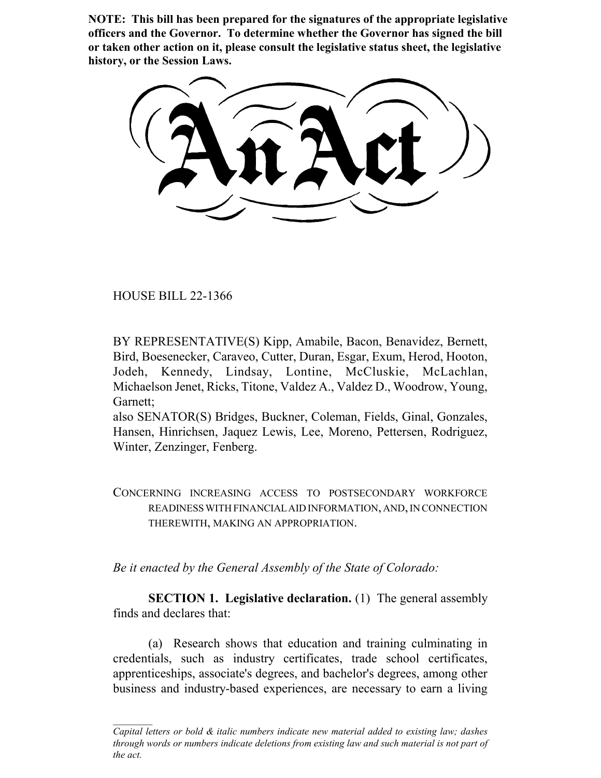**NOTE: This bill has been prepared for the signatures of the appropriate legislative officers and the Governor. To determine whether the Governor has signed the bill or taken other action on it, please consult the legislative status sheet, the legislative history, or the Session Laws.**

HOUSE BILL 22-1366

BY REPRESENTATIVE(S) Kipp, Amabile, Bacon, Benavidez, Bernett, Bird, Boesenecker, Caraveo, Cutter, Duran, Esgar, Exum, Herod, Hooton, Jodeh, Kennedy, Lindsay, Lontine, McCluskie, McLachlan, Michaelson Jenet, Ricks, Titone, Valdez A., Valdez D., Woodrow, Young, Garnett;

also SENATOR(S) Bridges, Buckner, Coleman, Fields, Ginal, Gonzales, Hansen, Hinrichsen, Jaquez Lewis, Lee, Moreno, Pettersen, Rodriguez, Winter, Zenzinger, Fenberg.

CONCERNING INCREASING ACCESS TO POSTSECONDARY WORKFORCE READINESS WITH FINANCIAL AID INFORMATION, AND, IN CONNECTION THEREWITH, MAKING AN APPROPRIATION.

*Be it enacted by the General Assembly of the State of Colorado:*

**SECTION 1. Legislative declaration.** (1) The general assembly finds and declares that:

(a) Research shows that education and training culminating in credentials, such as industry certificates, trade school certificates, apprenticeships, associate's degrees, and bachelor's degrees, among other business and industry-based experiences, are necessary to earn a living

*Capital letters or bold & italic numbers indicate new material added to existing law; dashes through words or numbers indicate deletions from existing law and such material is not part of the act.*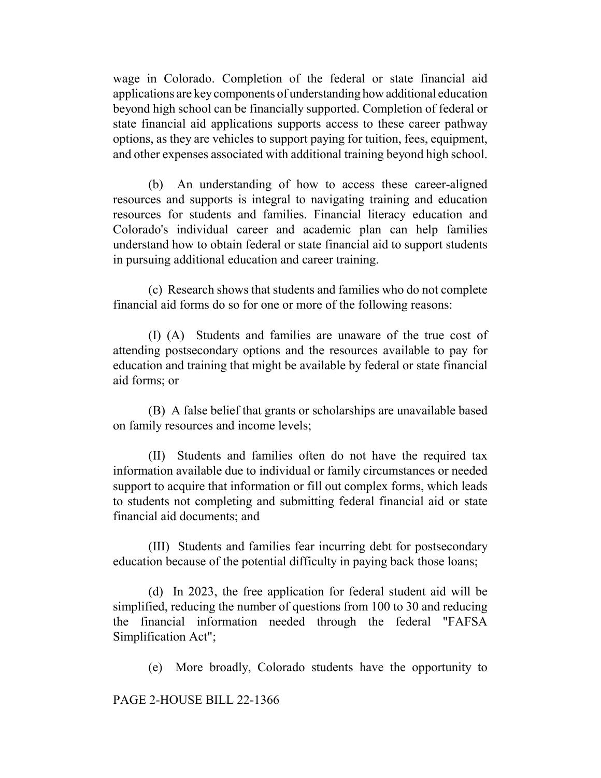wage in Colorado. Completion of the federal or state financial aid applications are key components of understanding how additional education beyond high school can be financially supported. Completion of federal or state financial aid applications supports access to these career pathway options, as they are vehicles to support paying for tuition, fees, equipment, and other expenses associated with additional training beyond high school.

(b) An understanding of how to access these career-aligned resources and supports is integral to navigating training and education resources for students and families. Financial literacy education and Colorado's individual career and academic plan can help families understand how to obtain federal or state financial aid to support students in pursuing additional education and career training.

(c) Research shows that students and families who do not complete financial aid forms do so for one or more of the following reasons:

(I) (A) Students and families are unaware of the true cost of attending postsecondary options and the resources available to pay for education and training that might be available by federal or state financial aid forms; or

(B) A false belief that grants or scholarships are unavailable based on family resources and income levels;

(II) Students and families often do not have the required tax information available due to individual or family circumstances or needed support to acquire that information or fill out complex forms, which leads to students not completing and submitting federal financial aid or state financial aid documents; and

(III) Students and families fear incurring debt for postsecondary education because of the potential difficulty in paying back those loans;

(d) In 2023, the free application for federal student aid will be simplified, reducing the number of questions from 100 to 30 and reducing the financial information needed through the federal "FAFSA Simplification Act";

(e) More broadly, Colorado students have the opportunity to

PAGE 2-HOUSE BILL 22-1366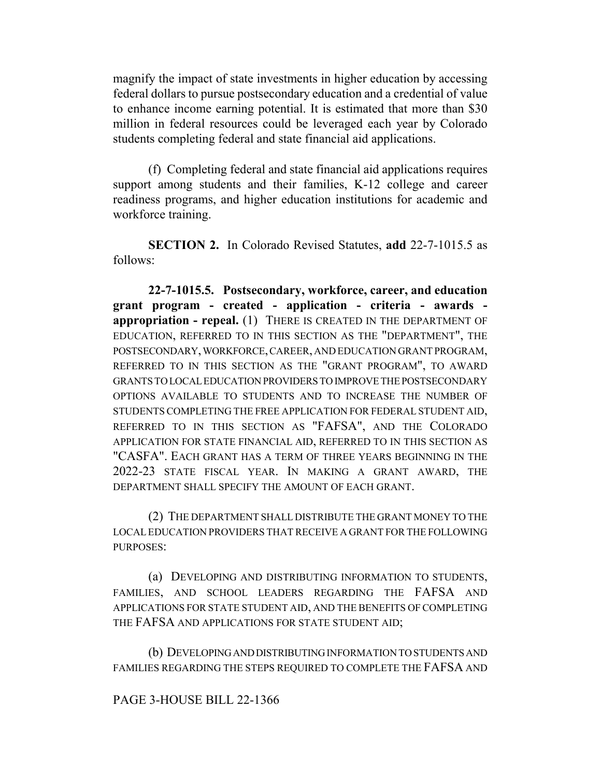magnify the impact of state investments in higher education by accessing federal dollars to pursue postsecondary education and a credential of value to enhance income earning potential. It is estimated that more than \$30 million in federal resources could be leveraged each year by Colorado students completing federal and state financial aid applications.

(f) Completing federal and state financial aid applications requires support among students and their families, K-12 college and career readiness programs, and higher education institutions for academic and workforce training.

**SECTION 2.** In Colorado Revised Statutes, **add** 22-7-1015.5 as follows:

**22-7-1015.5. Postsecondary, workforce, career, and education grant program - created - application - criteria - awards appropriation - repeal.** (1) THERE IS CREATED IN THE DEPARTMENT OF EDUCATION, REFERRED TO IN THIS SECTION AS THE "DEPARTMENT", THE POSTSECONDARY, WORKFORCE, CAREER, AND EDUCATION GRANT PROGRAM, REFERRED TO IN THIS SECTION AS THE "GRANT PROGRAM", TO AWARD GRANTS TO LOCAL EDUCATION PROVIDERS TO IMPROVE THE POSTSECONDARY OPTIONS AVAILABLE TO STUDENTS AND TO INCREASE THE NUMBER OF STUDENTS COMPLETING THE FREE APPLICATION FOR FEDERAL STUDENT AID, REFERRED TO IN THIS SECTION AS "FAFSA", AND THE COLORADO APPLICATION FOR STATE FINANCIAL AID, REFERRED TO IN THIS SECTION AS "CASFA". EACH GRANT HAS A TERM OF THREE YEARS BEGINNING IN THE 2022-23 STATE FISCAL YEAR. IN MAKING A GRANT AWARD, THE DEPARTMENT SHALL SPECIFY THE AMOUNT OF EACH GRANT.

(2) THE DEPARTMENT SHALL DISTRIBUTE THE GRANT MONEY TO THE LOCAL EDUCATION PROVIDERS THAT RECEIVE A GRANT FOR THE FOLLOWING PURPOSES:

(a) DEVELOPING AND DISTRIBUTING INFORMATION TO STUDENTS, FAMILIES, AND SCHOOL LEADERS REGARDING THE FAFSA AND APPLICATIONS FOR STATE STUDENT AID, AND THE BENEFITS OF COMPLETING THE FAFSA AND APPLICATIONS FOR STATE STUDENT AID;

(b) DEVELOPING AND DISTRIBUTING INFORMATION TO STUDENTS AND FAMILIES REGARDING THE STEPS REQUIRED TO COMPLETE THE FAFSA AND

## PAGE 3-HOUSE BILL 22-1366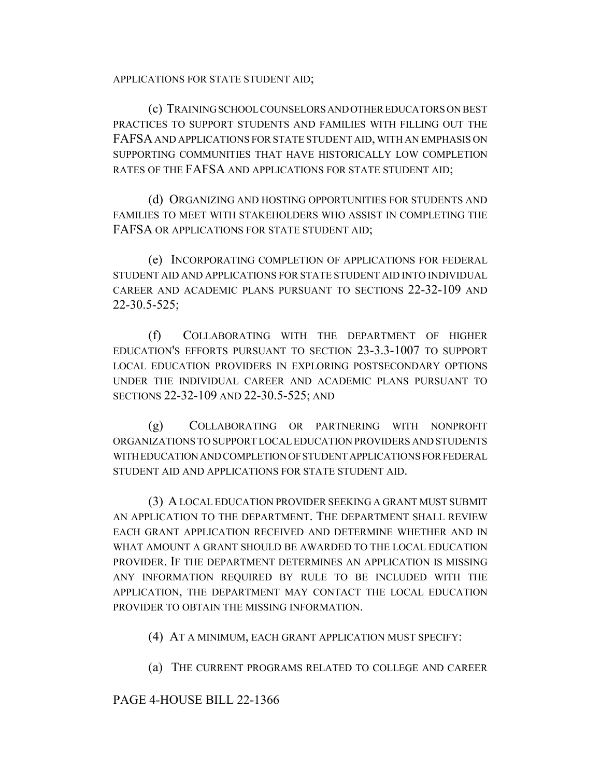APPLICATIONS FOR STATE STUDENT AID;

(c) TRAINING SCHOOL COUNSELORS AND OTHER EDUCATORS ON BEST PRACTICES TO SUPPORT STUDENTS AND FAMILIES WITH FILLING OUT THE FAFSA AND APPLICATIONS FOR STATE STUDENT AID, WITH AN EMPHASIS ON SUPPORTING COMMUNITIES THAT HAVE HISTORICALLY LOW COMPLETION RATES OF THE FAFSA AND APPLICATIONS FOR STATE STUDENT AID;

(d) ORGANIZING AND HOSTING OPPORTUNITIES FOR STUDENTS AND FAMILIES TO MEET WITH STAKEHOLDERS WHO ASSIST IN COMPLETING THE FAFSA OR APPLICATIONS FOR STATE STUDENT AID;

(e) INCORPORATING COMPLETION OF APPLICATIONS FOR FEDERAL STUDENT AID AND APPLICATIONS FOR STATE STUDENT AID INTO INDIVIDUAL CAREER AND ACADEMIC PLANS PURSUANT TO SECTIONS 22-32-109 AND 22-30.5-525;

(f) COLLABORATING WITH THE DEPARTMENT OF HIGHER EDUCATION'S EFFORTS PURSUANT TO SECTION 23-3.3-1007 TO SUPPORT LOCAL EDUCATION PROVIDERS IN EXPLORING POSTSECONDARY OPTIONS UNDER THE INDIVIDUAL CAREER AND ACADEMIC PLANS PURSUANT TO SECTIONS 22-32-109 AND 22-30.5-525; AND

(g) COLLABORATING OR PARTNERING WITH NONPROFIT ORGANIZATIONS TO SUPPORT LOCAL EDUCATION PROVIDERS AND STUDENTS WITH EDUCATION AND COMPLETION OF STUDENT APPLICATIONS FOR FEDERAL STUDENT AID AND APPLICATIONS FOR STATE STUDENT AID.

(3) A LOCAL EDUCATION PROVIDER SEEKING A GRANT MUST SUBMIT AN APPLICATION TO THE DEPARTMENT. THE DEPARTMENT SHALL REVIEW EACH GRANT APPLICATION RECEIVED AND DETERMINE WHETHER AND IN WHAT AMOUNT A GRANT SHOULD BE AWARDED TO THE LOCAL EDUCATION PROVIDER. IF THE DEPARTMENT DETERMINES AN APPLICATION IS MISSING ANY INFORMATION REQUIRED BY RULE TO BE INCLUDED WITH THE APPLICATION, THE DEPARTMENT MAY CONTACT THE LOCAL EDUCATION PROVIDER TO OBTAIN THE MISSING INFORMATION.

(4) AT A MINIMUM, EACH GRANT APPLICATION MUST SPECIFY:

(a) THE CURRENT PROGRAMS RELATED TO COLLEGE AND CAREER

PAGE 4-HOUSE BILL 22-1366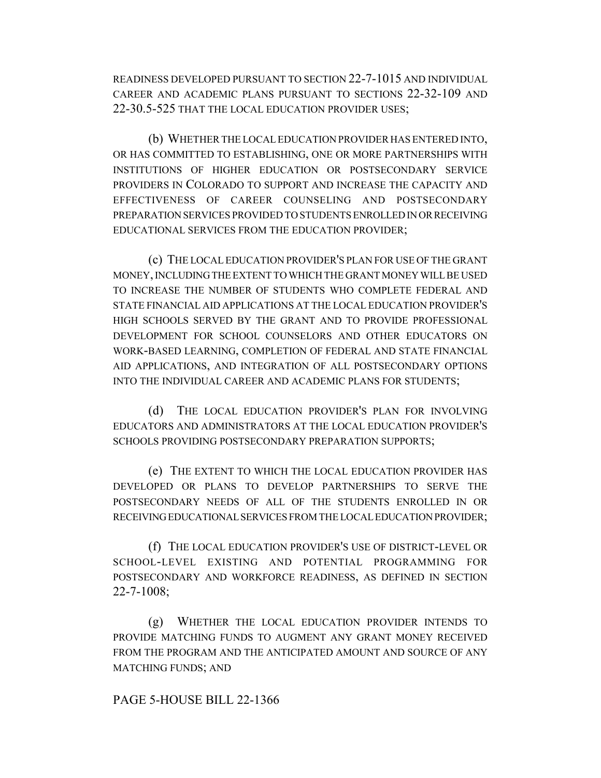READINESS DEVELOPED PURSUANT TO SECTION 22-7-1015 AND INDIVIDUAL CAREER AND ACADEMIC PLANS PURSUANT TO SECTIONS 22-32-109 AND 22-30.5-525 THAT THE LOCAL EDUCATION PROVIDER USES;

(b) WHETHER THE LOCAL EDUCATION PROVIDER HAS ENTERED INTO, OR HAS COMMITTED TO ESTABLISHING, ONE OR MORE PARTNERSHIPS WITH INSTITUTIONS OF HIGHER EDUCATION OR POSTSECONDARY SERVICE PROVIDERS IN COLORADO TO SUPPORT AND INCREASE THE CAPACITY AND EFFECTIVENESS OF CAREER COUNSELING AND POSTSECONDARY PREPARATION SERVICES PROVIDED TO STUDENTS ENROLLED IN OR RECEIVING EDUCATIONAL SERVICES FROM THE EDUCATION PROVIDER;

(c) THE LOCAL EDUCATION PROVIDER'S PLAN FOR USE OF THE GRANT MONEY, INCLUDING THE EXTENT TO WHICH THE GRANT MONEY WILL BE USED TO INCREASE THE NUMBER OF STUDENTS WHO COMPLETE FEDERAL AND STATE FINANCIAL AID APPLICATIONS AT THE LOCAL EDUCATION PROVIDER'S HIGH SCHOOLS SERVED BY THE GRANT AND TO PROVIDE PROFESSIONAL DEVELOPMENT FOR SCHOOL COUNSELORS AND OTHER EDUCATORS ON WORK-BASED LEARNING, COMPLETION OF FEDERAL AND STATE FINANCIAL AID APPLICATIONS, AND INTEGRATION OF ALL POSTSECONDARY OPTIONS INTO THE INDIVIDUAL CAREER AND ACADEMIC PLANS FOR STUDENTS;

(d) THE LOCAL EDUCATION PROVIDER'S PLAN FOR INVOLVING EDUCATORS AND ADMINISTRATORS AT THE LOCAL EDUCATION PROVIDER'S SCHOOLS PROVIDING POSTSECONDARY PREPARATION SUPPORTS;

(e) THE EXTENT TO WHICH THE LOCAL EDUCATION PROVIDER HAS DEVELOPED OR PLANS TO DEVELOP PARTNERSHIPS TO SERVE THE POSTSECONDARY NEEDS OF ALL OF THE STUDENTS ENROLLED IN OR RECEIVING EDUCATIONAL SERVICES FROM THE LOCAL EDUCATION PROVIDER;

(f) THE LOCAL EDUCATION PROVIDER'S USE OF DISTRICT-LEVEL OR SCHOOL-LEVEL EXISTING AND POTENTIAL PROGRAMMING FOR POSTSECONDARY AND WORKFORCE READINESS, AS DEFINED IN SECTION 22-7-1008;

(g) WHETHER THE LOCAL EDUCATION PROVIDER INTENDS TO PROVIDE MATCHING FUNDS TO AUGMENT ANY GRANT MONEY RECEIVED FROM THE PROGRAM AND THE ANTICIPATED AMOUNT AND SOURCE OF ANY MATCHING FUNDS; AND

## PAGE 5-HOUSE BILL 22-1366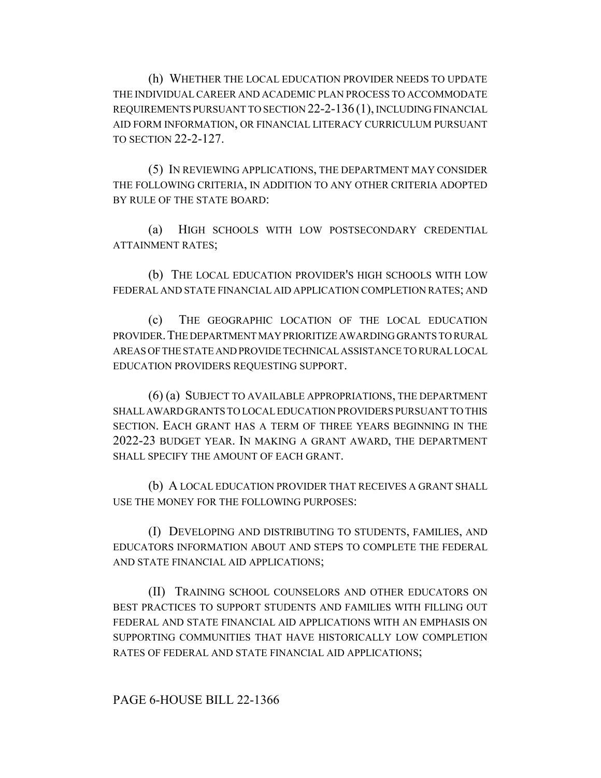(h) WHETHER THE LOCAL EDUCATION PROVIDER NEEDS TO UPDATE THE INDIVIDUAL CAREER AND ACADEMIC PLAN PROCESS TO ACCOMMODATE REQUIREMENTS PURSUANT TO SECTION 22-2-136 (1), INCLUDING FINANCIAL AID FORM INFORMATION, OR FINANCIAL LITERACY CURRICULUM PURSUANT TO SECTION 22-2-127.

(5) IN REVIEWING APPLICATIONS, THE DEPARTMENT MAY CONSIDER THE FOLLOWING CRITERIA, IN ADDITION TO ANY OTHER CRITERIA ADOPTED BY RULE OF THE STATE BOARD:

(a) HIGH SCHOOLS WITH LOW POSTSECONDARY CREDENTIAL ATTAINMENT RATES;

(b) THE LOCAL EDUCATION PROVIDER'S HIGH SCHOOLS WITH LOW FEDERAL AND STATE FINANCIAL AID APPLICATION COMPLETION RATES; AND

(c) THE GEOGRAPHIC LOCATION OF THE LOCAL EDUCATION PROVIDER.THE DEPARTMENT MAY PRIORITIZE AWARDING GRANTS TO RURAL AREAS OF THE STATE AND PROVIDE TECHNICAL ASSISTANCE TO RURAL LOCAL EDUCATION PROVIDERS REQUESTING SUPPORT.

(6) (a) SUBJECT TO AVAILABLE APPROPRIATIONS, THE DEPARTMENT SHALL AWARD GRANTS TO LOCAL EDUCATION PROVIDERS PURSUANT TO THIS SECTION. EACH GRANT HAS A TERM OF THREE YEARS BEGINNING IN THE 2022-23 BUDGET YEAR. IN MAKING A GRANT AWARD, THE DEPARTMENT SHALL SPECIFY THE AMOUNT OF EACH GRANT.

(b) A LOCAL EDUCATION PROVIDER THAT RECEIVES A GRANT SHALL USE THE MONEY FOR THE FOLLOWING PURPOSES:

(I) DEVELOPING AND DISTRIBUTING TO STUDENTS, FAMILIES, AND EDUCATORS INFORMATION ABOUT AND STEPS TO COMPLETE THE FEDERAL AND STATE FINANCIAL AID APPLICATIONS;

(II) TRAINING SCHOOL COUNSELORS AND OTHER EDUCATORS ON BEST PRACTICES TO SUPPORT STUDENTS AND FAMILIES WITH FILLING OUT FEDERAL AND STATE FINANCIAL AID APPLICATIONS WITH AN EMPHASIS ON SUPPORTING COMMUNITIES THAT HAVE HISTORICALLY LOW COMPLETION RATES OF FEDERAL AND STATE FINANCIAL AID APPLICATIONS;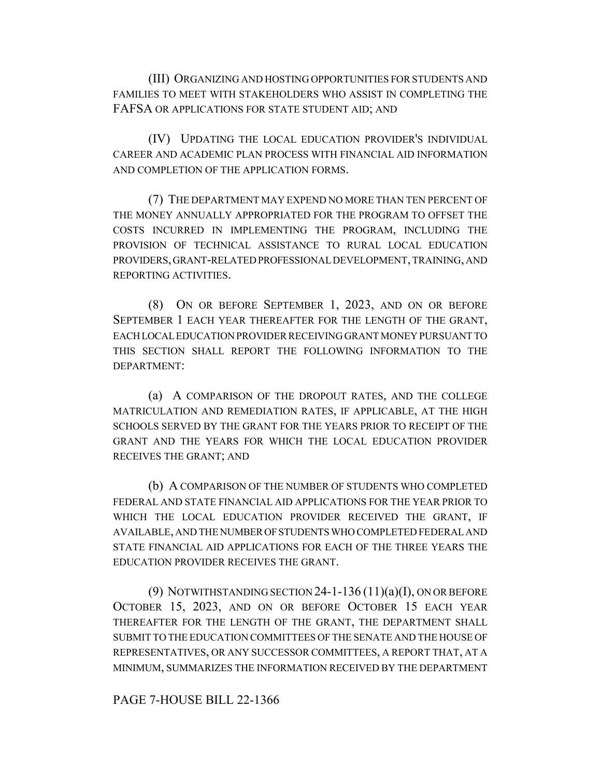(III) ORGANIZING AND HOSTING OPPORTUNITIES FOR STUDENTS AND FAMILIES TO MEET WITH STAKEHOLDERS WHO ASSIST IN COMPLETING THE FAFSA OR APPLICATIONS FOR STATE STUDENT AID; AND

(IV) UPDATING THE LOCAL EDUCATION PROVIDER'S INDIVIDUAL CAREER AND ACADEMIC PLAN PROCESS WITH FINANCIAL AID INFORMATION AND COMPLETION OF THE APPLICATION FORMS.

(7) THE DEPARTMENT MAY EXPEND NO MORE THAN TEN PERCENT OF THE MONEY ANNUALLY APPROPRIATED FOR THE PROGRAM TO OFFSET THE COSTS INCURRED IN IMPLEMENTING THE PROGRAM, INCLUDING THE PROVISION OF TECHNICAL ASSISTANCE TO RURAL LOCAL EDUCATION PROVIDERS, GRANT-RELATED PROFESSIONAL DEVELOPMENT, TRAINING, AND REPORTING ACTIVITIES.

(8) ON OR BEFORE SEPTEMBER 1, 2023, AND ON OR BEFORE SEPTEMBER 1 EACH YEAR THEREAFTER FOR THE LENGTH OF THE GRANT, EACH LOCAL EDUCATION PROVIDER RECEIVING GRANT MONEY PURSUANT TO THIS SECTION SHALL REPORT THE FOLLOWING INFORMATION TO THE DEPARTMENT:

(a) A COMPARISON OF THE DROPOUT RATES, AND THE COLLEGE MATRICULATION AND REMEDIATION RATES, IF APPLICABLE, AT THE HIGH SCHOOLS SERVED BY THE GRANT FOR THE YEARS PRIOR TO RECEIPT OF THE GRANT AND THE YEARS FOR WHICH THE LOCAL EDUCATION PROVIDER RECEIVES THE GRANT; AND

(b) A COMPARISON OF THE NUMBER OF STUDENTS WHO COMPLETED FEDERAL AND STATE FINANCIAL AID APPLICATIONS FOR THE YEAR PRIOR TO WHICH THE LOCAL EDUCATION PROVIDER RECEIVED THE GRANT, IF AVAILABLE, AND THE NUMBER OF STUDENTS WHO COMPLETED FEDERAL AND STATE FINANCIAL AID APPLICATIONS FOR EACH OF THE THREE YEARS THE EDUCATION PROVIDER RECEIVES THE GRANT.

(9) NOTWITHSTANDING SECTION 24-1-136  $(11)(a)(I)$ , ON OR BEFORE OCTOBER 15, 2023, AND ON OR BEFORE OCTOBER 15 EACH YEAR THEREAFTER FOR THE LENGTH OF THE GRANT, THE DEPARTMENT SHALL SUBMIT TO THE EDUCATION COMMITTEES OF THE SENATE AND THE HOUSE OF REPRESENTATIVES, OR ANY SUCCESSOR COMMITTEES, A REPORT THAT, AT A MINIMUM, SUMMARIZES THE INFORMATION RECEIVED BY THE DEPARTMENT

PAGE 7-HOUSE BILL 22-1366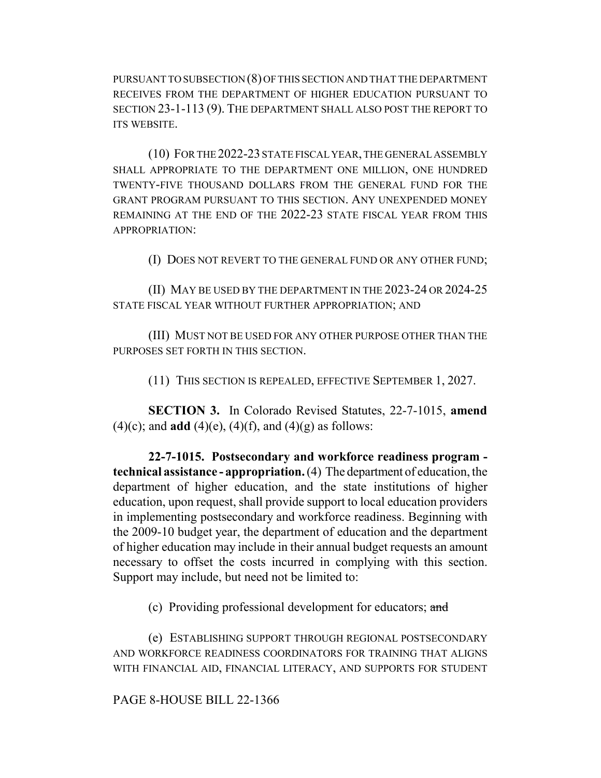PURSUANT TO SUBSECTION (8) OF THIS SECTION AND THAT THE DEPARTMENT RECEIVES FROM THE DEPARTMENT OF HIGHER EDUCATION PURSUANT TO SECTION 23-1-113 (9). THE DEPARTMENT SHALL ALSO POST THE REPORT TO ITS WEBSITE.

(10) FOR THE 2022-23 STATE FISCAL YEAR, THE GENERAL ASSEMBLY SHALL APPROPRIATE TO THE DEPARTMENT ONE MILLION, ONE HUNDRED TWENTY-FIVE THOUSAND DOLLARS FROM THE GENERAL FUND FOR THE GRANT PROGRAM PURSUANT TO THIS SECTION. ANY UNEXPENDED MONEY REMAINING AT THE END OF THE 2022-23 STATE FISCAL YEAR FROM THIS APPROPRIATION:

(I) DOES NOT REVERT TO THE GENERAL FUND OR ANY OTHER FUND;

(II) MAY BE USED BY THE DEPARTMENT IN THE 2023-24 OR 2024-25 STATE FISCAL YEAR WITHOUT FURTHER APPROPRIATION; AND

(III) MUST NOT BE USED FOR ANY OTHER PURPOSE OTHER THAN THE PURPOSES SET FORTH IN THIS SECTION.

(11) THIS SECTION IS REPEALED, EFFECTIVE SEPTEMBER 1, 2027.

**SECTION 3.** In Colorado Revised Statutes, 22-7-1015, **amend** (4)(c); and **add** (4)(e), (4)(f), and (4)(g) as follows:

**22-7-1015. Postsecondary and workforce readiness program technical assistance - appropriation.** (4) The department of education, the department of higher education, and the state institutions of higher education, upon request, shall provide support to local education providers in implementing postsecondary and workforce readiness. Beginning with the 2009-10 budget year, the department of education and the department of higher education may include in their annual budget requests an amount necessary to offset the costs incurred in complying with this section. Support may include, but need not be limited to:

(c) Providing professional development for educators; and

(e) ESTABLISHING SUPPORT THROUGH REGIONAL POSTSECONDARY AND WORKFORCE READINESS COORDINATORS FOR TRAINING THAT ALIGNS WITH FINANCIAL AID, FINANCIAL LITERACY, AND SUPPORTS FOR STUDENT

PAGE 8-HOUSE BILL 22-1366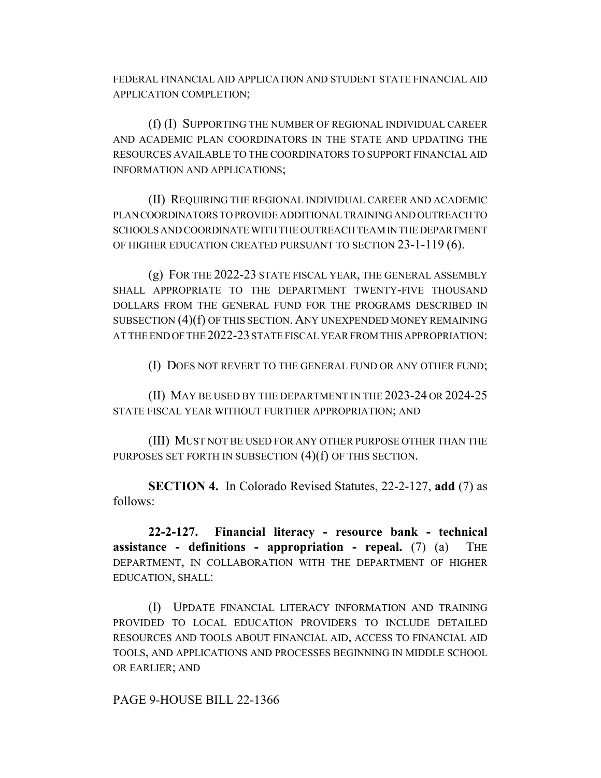FEDERAL FINANCIAL AID APPLICATION AND STUDENT STATE FINANCIAL AID APPLICATION COMPLETION;

(f) (I) SUPPORTING THE NUMBER OF REGIONAL INDIVIDUAL CAREER AND ACADEMIC PLAN COORDINATORS IN THE STATE AND UPDATING THE RESOURCES AVAILABLE TO THE COORDINATORS TO SUPPORT FINANCIAL AID INFORMATION AND APPLICATIONS;

(II) REQUIRING THE REGIONAL INDIVIDUAL CAREER AND ACADEMIC PLAN COORDINATORS TO PROVIDE ADDITIONAL TRAINING AND OUTREACH TO SCHOOLS AND COORDINATE WITH THE OUTREACH TEAM IN THE DEPARTMENT OF HIGHER EDUCATION CREATED PURSUANT TO SECTION 23-1-119 (6).

(g) FOR THE 2022-23 STATE FISCAL YEAR, THE GENERAL ASSEMBLY SHALL APPROPRIATE TO THE DEPARTMENT TWENTY-FIVE THOUSAND DOLLARS FROM THE GENERAL FUND FOR THE PROGRAMS DESCRIBED IN SUBSECTION (4)(f) OF THIS SECTION. ANY UNEXPENDED MONEY REMAINING AT THE END OF THE 2022-23 STATE FISCAL YEAR FROM THIS APPROPRIATION:

(I) DOES NOT REVERT TO THE GENERAL FUND OR ANY OTHER FUND;

(II) MAY BE USED BY THE DEPARTMENT IN THE 2023-24 OR 2024-25 STATE FISCAL YEAR WITHOUT FURTHER APPROPRIATION; AND

(III) MUST NOT BE USED FOR ANY OTHER PURPOSE OTHER THAN THE PURPOSES SET FORTH IN SUBSECTION (4)(f) OF THIS SECTION.

**SECTION 4.** In Colorado Revised Statutes, 22-2-127, **add** (7) as follows:

**22-2-127. Financial literacy - resource bank - technical assistance - definitions - appropriation - repeal.** (7) (a) THE DEPARTMENT, IN COLLABORATION WITH THE DEPARTMENT OF HIGHER EDUCATION, SHALL:

(I) UPDATE FINANCIAL LITERACY INFORMATION AND TRAINING PROVIDED TO LOCAL EDUCATION PROVIDERS TO INCLUDE DETAILED RESOURCES AND TOOLS ABOUT FINANCIAL AID, ACCESS TO FINANCIAL AID TOOLS, AND APPLICATIONS AND PROCESSES BEGINNING IN MIDDLE SCHOOL OR EARLIER; AND

PAGE 9-HOUSE BILL 22-1366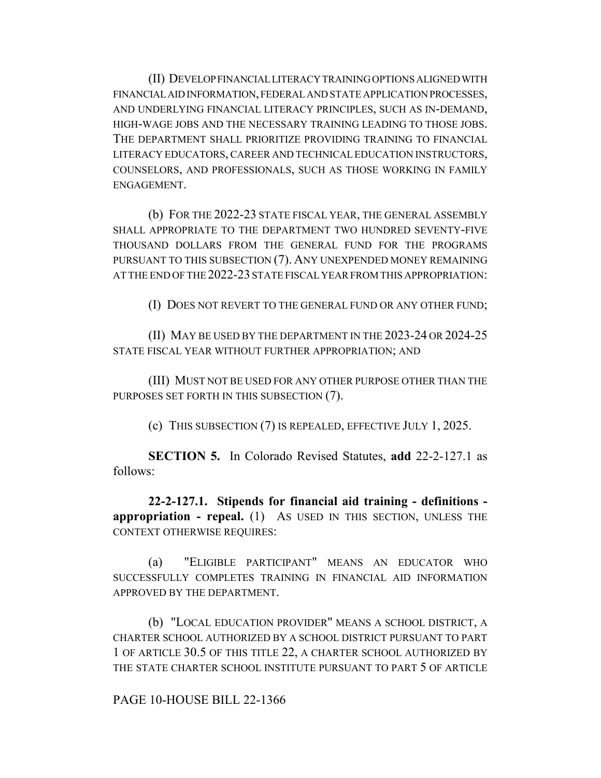(II) DEVELOP FINANCIAL LITERACY TRAINING OPTIONS ALIGNED WITH FINANCIAL AID INFORMATION, FEDERAL AND STATE APPLICATION PROCESSES, AND UNDERLYING FINANCIAL LITERACY PRINCIPLES, SUCH AS IN-DEMAND, HIGH-WAGE JOBS AND THE NECESSARY TRAINING LEADING TO THOSE JOBS. THE DEPARTMENT SHALL PRIORITIZE PROVIDING TRAINING TO FINANCIAL LITERACY EDUCATORS, CAREER AND TECHNICAL EDUCATION INSTRUCTORS, COUNSELORS, AND PROFESSIONALS, SUCH AS THOSE WORKING IN FAMILY ENGAGEMENT.

(b) FOR THE 2022-23 STATE FISCAL YEAR, THE GENERAL ASSEMBLY SHALL APPROPRIATE TO THE DEPARTMENT TWO HUNDRED SEVENTY-FIVE THOUSAND DOLLARS FROM THE GENERAL FUND FOR THE PROGRAMS PURSUANT TO THIS SUBSECTION (7). ANY UNEXPENDED MONEY REMAINING AT THE END OF THE 2022-23 STATE FISCAL YEAR FROM THIS APPROPRIATION:

(I) DOES NOT REVERT TO THE GENERAL FUND OR ANY OTHER FUND;

(II) MAY BE USED BY THE DEPARTMENT IN THE 2023-24 OR 2024-25 STATE FISCAL YEAR WITHOUT FURTHER APPROPRIATION; AND

(III) MUST NOT BE USED FOR ANY OTHER PURPOSE OTHER THAN THE PURPOSES SET FORTH IN THIS SUBSECTION (7).

(c) THIS SUBSECTION (7) IS REPEALED, EFFECTIVE JULY 1, 2025.

**SECTION 5.** In Colorado Revised Statutes, **add** 22-2-127.1 as follows:

**22-2-127.1. Stipends for financial aid training - definitions appropriation - repeal.** (1) AS USED IN THIS SECTION, UNLESS THE CONTEXT OTHERWISE REQUIRES:

(a) "ELIGIBLE PARTICIPANT" MEANS AN EDUCATOR WHO SUCCESSFULLY COMPLETES TRAINING IN FINANCIAL AID INFORMATION APPROVED BY THE DEPARTMENT.

(b) "LOCAL EDUCATION PROVIDER" MEANS A SCHOOL DISTRICT, A CHARTER SCHOOL AUTHORIZED BY A SCHOOL DISTRICT PURSUANT TO PART 1 OF ARTICLE 30.5 OF THIS TITLE 22, A CHARTER SCHOOL AUTHORIZED BY THE STATE CHARTER SCHOOL INSTITUTE PURSUANT TO PART 5 OF ARTICLE

PAGE 10-HOUSE BILL 22-1366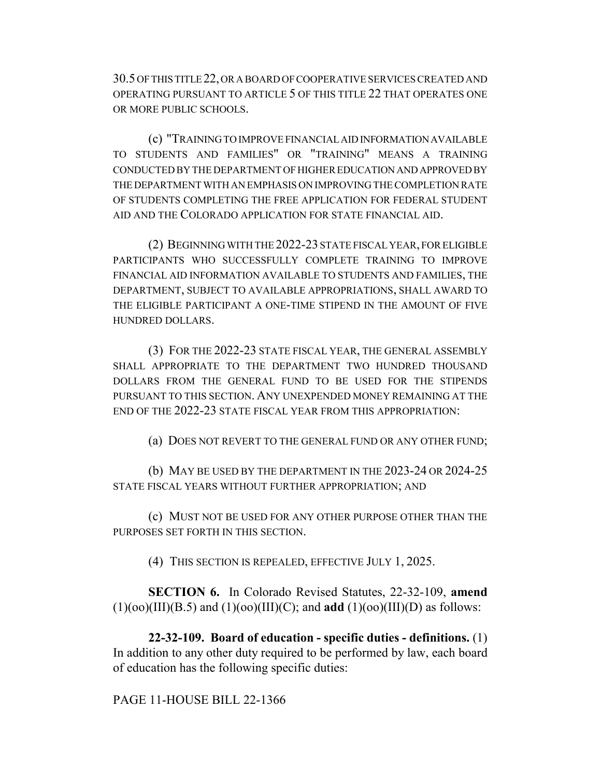30.5 OF THIS TITLE 22, OR A BOARD OF COOPERATIVE SERVICES CREATED AND OPERATING PURSUANT TO ARTICLE 5 OF THIS TITLE 22 THAT OPERATES ONE OR MORE PUBLIC SCHOOLS.

(c) "TRAINING TO IMPROVE FINANCIAL AID INFORMATION AVAILABLE TO STUDENTS AND FAMILIES" OR "TRAINING" MEANS A TRAINING CONDUCTED BY THE DEPARTMENT OF HIGHER EDUCATION AND APPROVED BY THE DEPARTMENT WITH AN EMPHASIS ON IMPROVING THE COMPLETION RATE OF STUDENTS COMPLETING THE FREE APPLICATION FOR FEDERAL STUDENT AID AND THE COLORADO APPLICATION FOR STATE FINANCIAL AID.

(2) BEGINNING WITH THE 2022-23 STATE FISCAL YEAR, FOR ELIGIBLE PARTICIPANTS WHO SUCCESSFULLY COMPLETE TRAINING TO IMPROVE FINANCIAL AID INFORMATION AVAILABLE TO STUDENTS AND FAMILIES, THE DEPARTMENT, SUBJECT TO AVAILABLE APPROPRIATIONS, SHALL AWARD TO THE ELIGIBLE PARTICIPANT A ONE-TIME STIPEND IN THE AMOUNT OF FIVE HUNDRED DOLLARS.

(3) FOR THE 2022-23 STATE FISCAL YEAR, THE GENERAL ASSEMBLY SHALL APPROPRIATE TO THE DEPARTMENT TWO HUNDRED THOUSAND DOLLARS FROM THE GENERAL FUND TO BE USED FOR THE STIPENDS PURSUANT TO THIS SECTION. ANY UNEXPENDED MONEY REMAINING AT THE END OF THE 2022-23 STATE FISCAL YEAR FROM THIS APPROPRIATION:

(a) DOES NOT REVERT TO THE GENERAL FUND OR ANY OTHER FUND;

(b) MAY BE USED BY THE DEPARTMENT IN THE 2023-24 OR 2024-25 STATE FISCAL YEARS WITHOUT FURTHER APPROPRIATION; AND

(c) MUST NOT BE USED FOR ANY OTHER PURPOSE OTHER THAN THE PURPOSES SET FORTH IN THIS SECTION.

(4) THIS SECTION IS REPEALED, EFFECTIVE JULY 1, 2025.

**SECTION 6.** In Colorado Revised Statutes, 22-32-109, **amend**  $(1)(oo)(III)(B.5)$  and  $(1)(oo)(III)(C)$ ; and **add**  $(1)(oo)(III)(D)$  as follows:

**22-32-109. Board of education - specific duties - definitions.** (1) In addition to any other duty required to be performed by law, each board of education has the following specific duties:

PAGE 11-HOUSE BILL 22-1366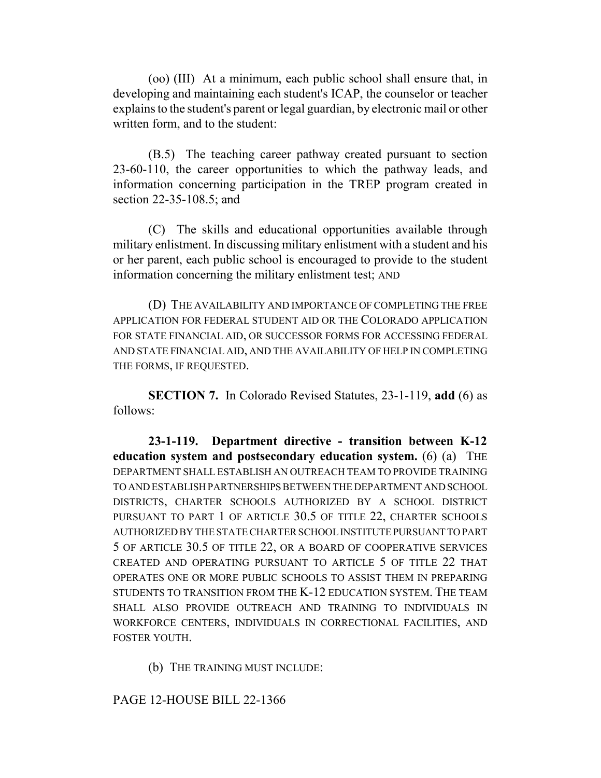(oo) (III) At a minimum, each public school shall ensure that, in developing and maintaining each student's ICAP, the counselor or teacher explains to the student's parent or legal guardian, by electronic mail or other written form, and to the student:

(B.5) The teaching career pathway created pursuant to section 23-60-110, the career opportunities to which the pathway leads, and information concerning participation in the TREP program created in section 22-35-108.5; and

(C) The skills and educational opportunities available through military enlistment. In discussing military enlistment with a student and his or her parent, each public school is encouraged to provide to the student information concerning the military enlistment test; AND

(D) THE AVAILABILITY AND IMPORTANCE OF COMPLETING THE FREE APPLICATION FOR FEDERAL STUDENT AID OR THE COLORADO APPLICATION FOR STATE FINANCIAL AID, OR SUCCESSOR FORMS FOR ACCESSING FEDERAL AND STATE FINANCIAL AID, AND THE AVAILABILITY OF HELP IN COMPLETING THE FORMS, IF REQUESTED.

**SECTION 7.** In Colorado Revised Statutes, 23-1-119, **add** (6) as follows:

**23-1-119. Department directive - transition between K-12 education system and postsecondary education system.** (6) (a) THE DEPARTMENT SHALL ESTABLISH AN OUTREACH TEAM TO PROVIDE TRAINING TO AND ESTABLISH PARTNERSHIPS BETWEEN THE DEPARTMENT AND SCHOOL DISTRICTS, CHARTER SCHOOLS AUTHORIZED BY A SCHOOL DISTRICT PURSUANT TO PART 1 OF ARTICLE 30.5 OF TITLE 22, CHARTER SCHOOLS AUTHORIZED BY THE STATE CHARTER SCHOOL INSTITUTE PURSUANT TO PART 5 OF ARTICLE 30.5 OF TITLE 22, OR A BOARD OF COOPERATIVE SERVICES CREATED AND OPERATING PURSUANT TO ARTICLE 5 OF TITLE 22 THAT OPERATES ONE OR MORE PUBLIC SCHOOLS TO ASSIST THEM IN PREPARING STUDENTS TO TRANSITION FROM THE K-12 EDUCATION SYSTEM. THE TEAM SHALL ALSO PROVIDE OUTREACH AND TRAINING TO INDIVIDUALS IN WORKFORCE CENTERS, INDIVIDUALS IN CORRECTIONAL FACILITIES, AND FOSTER YOUTH.

(b) THE TRAINING MUST INCLUDE:

PAGE 12-HOUSE BILL 22-1366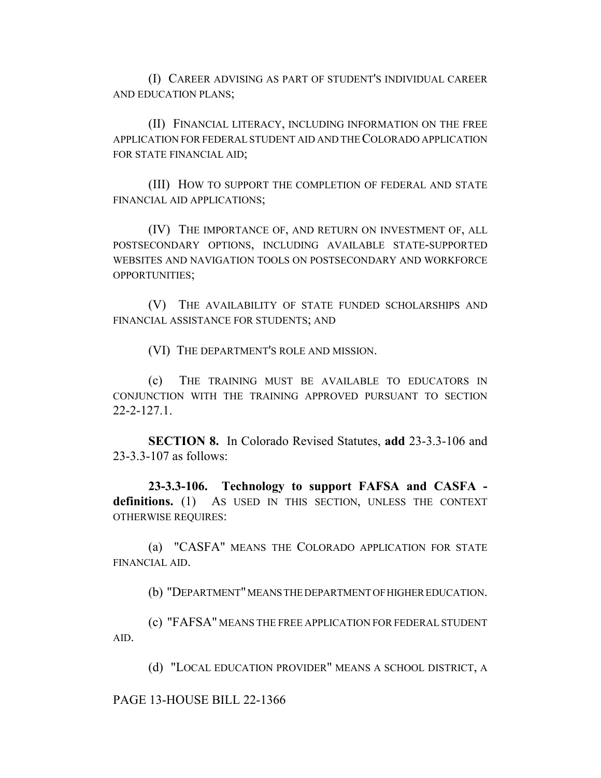(I) CAREER ADVISING AS PART OF STUDENT'S INDIVIDUAL CAREER AND EDUCATION PLANS;

(II) FINANCIAL LITERACY, INCLUDING INFORMATION ON THE FREE APPLICATION FOR FEDERAL STUDENT AID AND THE COLORADO APPLICATION FOR STATE FINANCIAL AID;

(III) HOW TO SUPPORT THE COMPLETION OF FEDERAL AND STATE FINANCIAL AID APPLICATIONS;

(IV) THE IMPORTANCE OF, AND RETURN ON INVESTMENT OF, ALL POSTSECONDARY OPTIONS, INCLUDING AVAILABLE STATE-SUPPORTED WEBSITES AND NAVIGATION TOOLS ON POSTSECONDARY AND WORKFORCE OPPORTUNITIES;

(V) THE AVAILABILITY OF STATE FUNDED SCHOLARSHIPS AND FINANCIAL ASSISTANCE FOR STUDENTS; AND

(VI) THE DEPARTMENT'S ROLE AND MISSION.

(c) THE TRAINING MUST BE AVAILABLE TO EDUCATORS IN CONJUNCTION WITH THE TRAINING APPROVED PURSUANT TO SECTION 22-2-127.1.

**SECTION 8.** In Colorado Revised Statutes, **add** 23-3.3-106 and 23-3.3-107 as follows:

**23-3.3-106. Technology to support FAFSA and CASFA**  definitions. (1) As USED IN THIS SECTION, UNLESS THE CONTEXT OTHERWISE REQUIRES:

(a) "CASFA" MEANS THE COLORADO APPLICATION FOR STATE FINANCIAL AID.

(b) "DEPARTMENT" MEANS THE DEPARTMENT OF HIGHER EDUCATION.

(c) "FAFSA" MEANS THE FREE APPLICATION FOR FEDERAL STUDENT AID.

(d) "LOCAL EDUCATION PROVIDER" MEANS A SCHOOL DISTRICT, A

PAGE 13-HOUSE BILL 22-1366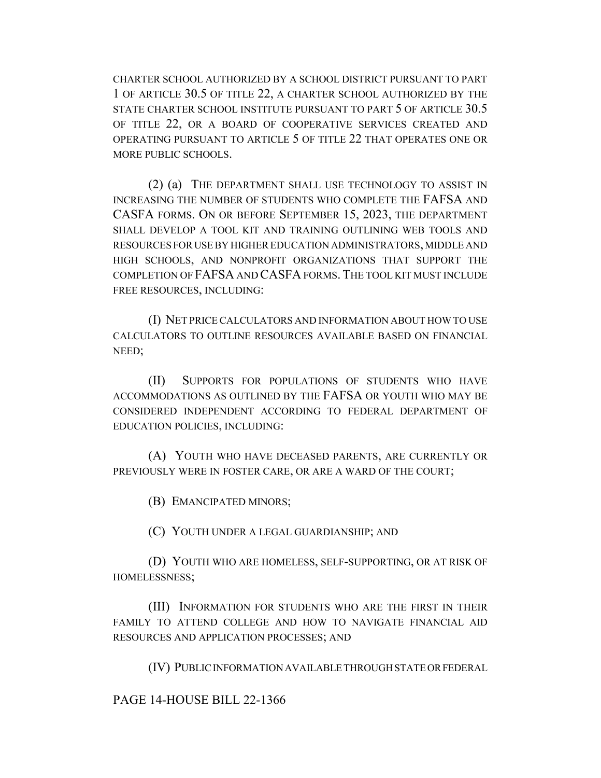CHARTER SCHOOL AUTHORIZED BY A SCHOOL DISTRICT PURSUANT TO PART 1 OF ARTICLE 30.5 OF TITLE 22, A CHARTER SCHOOL AUTHORIZED BY THE STATE CHARTER SCHOOL INSTITUTE PURSUANT TO PART 5 OF ARTICLE 30.5 OF TITLE 22, OR A BOARD OF COOPERATIVE SERVICES CREATED AND OPERATING PURSUANT TO ARTICLE 5 OF TITLE 22 THAT OPERATES ONE OR MORE PUBLIC SCHOOLS.

(2) (a) THE DEPARTMENT SHALL USE TECHNOLOGY TO ASSIST IN INCREASING THE NUMBER OF STUDENTS WHO COMPLETE THE FAFSA AND CASFA FORMS. ON OR BEFORE SEPTEMBER 15, 2023, THE DEPARTMENT SHALL DEVELOP A TOOL KIT AND TRAINING OUTLINING WEB TOOLS AND RESOURCES FOR USE BY HIGHER EDUCATION ADMINISTRATORS, MIDDLE AND HIGH SCHOOLS, AND NONPROFIT ORGANIZATIONS THAT SUPPORT THE COMPLETION OF FAFSA AND CASFA FORMS. THE TOOL KIT MUST INCLUDE FREE RESOURCES, INCLUDING:

(I) NET PRICE CALCULATORS AND INFORMATION ABOUT HOW TO USE CALCULATORS TO OUTLINE RESOURCES AVAILABLE BASED ON FINANCIAL NEED;

(II) SUPPORTS FOR POPULATIONS OF STUDENTS WHO HAVE ACCOMMODATIONS AS OUTLINED BY THE FAFSA OR YOUTH WHO MAY BE CONSIDERED INDEPENDENT ACCORDING TO FEDERAL DEPARTMENT OF EDUCATION POLICIES, INCLUDING:

(A) YOUTH WHO HAVE DECEASED PARENTS, ARE CURRENTLY OR PREVIOUSLY WERE IN FOSTER CARE, OR ARE A WARD OF THE COURT;

(B) EMANCIPATED MINORS;

(C) YOUTH UNDER A LEGAL GUARDIANSHIP; AND

(D) YOUTH WHO ARE HOMELESS, SELF-SUPPORTING, OR AT RISK OF HOMELESSNESS;

(III) INFORMATION FOR STUDENTS WHO ARE THE FIRST IN THEIR FAMILY TO ATTEND COLLEGE AND HOW TO NAVIGATE FINANCIAL AID RESOURCES AND APPLICATION PROCESSES; AND

(IV) PUBLIC INFORMATION AVAILABLE THROUGH STATE OR FEDERAL

PAGE 14-HOUSE BILL 22-1366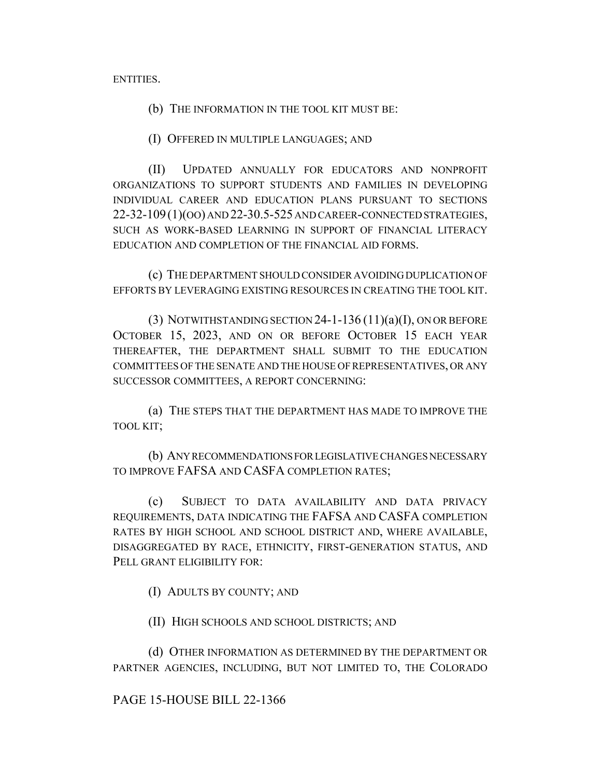ENTITIES.

(b) THE INFORMATION IN THE TOOL KIT MUST BE:

(I) OFFERED IN MULTIPLE LANGUAGES; AND

(II) UPDATED ANNUALLY FOR EDUCATORS AND NONPROFIT ORGANIZATIONS TO SUPPORT STUDENTS AND FAMILIES IN DEVELOPING INDIVIDUAL CAREER AND EDUCATION PLANS PURSUANT TO SECTIONS 22-32-109(1)(OO) AND 22-30.5-525 AND CAREER-CONNECTED STRATEGIES, SUCH AS WORK-BASED LEARNING IN SUPPORT OF FINANCIAL LITERACY EDUCATION AND COMPLETION OF THE FINANCIAL AID FORMS.

(c) THE DEPARTMENT SHOULD CONSIDER AVOIDING DUPLICATION OF EFFORTS BY LEVERAGING EXISTING RESOURCES IN CREATING THE TOOL KIT.

(3) NOTWITHSTANDING SECTION 24-1-136 (11)(a)(I), ON OR BEFORE OCTOBER 15, 2023, AND ON OR BEFORE OCTOBER 15 EACH YEAR THEREAFTER, THE DEPARTMENT SHALL SUBMIT TO THE EDUCATION COMMITTEES OF THE SENATE AND THE HOUSE OF REPRESENTATIVES, OR ANY SUCCESSOR COMMITTEES, A REPORT CONCERNING:

(a) THE STEPS THAT THE DEPARTMENT HAS MADE TO IMPROVE THE TOOL KIT;

(b) ANY RECOMMENDATIONS FOR LEGISLATIVE CHANGES NECESSARY TO IMPROVE FAFSA AND CASFA COMPLETION RATES;

(c) SUBJECT TO DATA AVAILABILITY AND DATA PRIVACY REQUIREMENTS, DATA INDICATING THE FAFSA AND CASFA COMPLETION RATES BY HIGH SCHOOL AND SCHOOL DISTRICT AND, WHERE AVAILABLE, DISAGGREGATED BY RACE, ETHNICITY, FIRST-GENERATION STATUS, AND PELL GRANT ELIGIBILITY FOR:

(I) ADULTS BY COUNTY; AND

(II) HIGH SCHOOLS AND SCHOOL DISTRICTS; AND

(d) OTHER INFORMATION AS DETERMINED BY THE DEPARTMENT OR PARTNER AGENCIES, INCLUDING, BUT NOT LIMITED TO, THE COLORADO

PAGE 15-HOUSE BILL 22-1366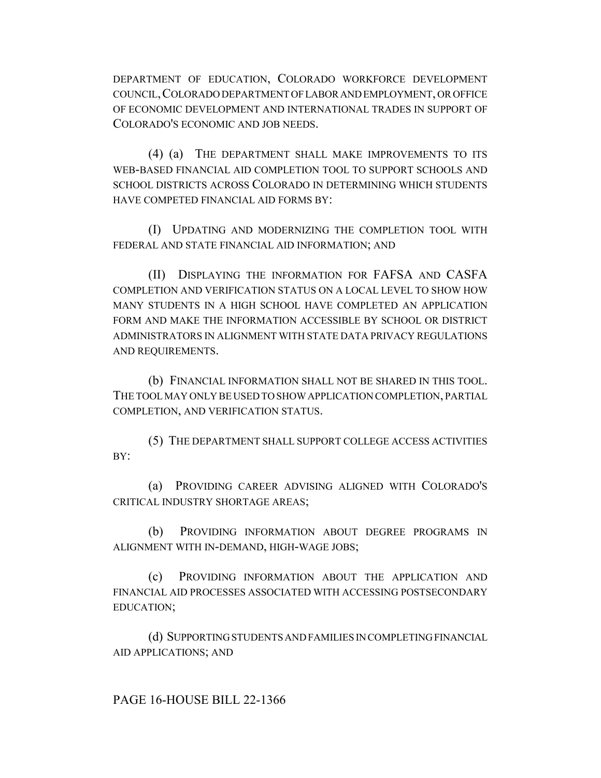DEPARTMENT OF EDUCATION, COLORADO WORKFORCE DEVELOPMENT COUNCIL,COLORADO DEPARTMENT OF LABOR AND EMPLOYMENT, OR OFFICE OF ECONOMIC DEVELOPMENT AND INTERNATIONAL TRADES IN SUPPORT OF COLORADO'S ECONOMIC AND JOB NEEDS.

(4) (a) THE DEPARTMENT SHALL MAKE IMPROVEMENTS TO ITS WEB-BASED FINANCIAL AID COMPLETION TOOL TO SUPPORT SCHOOLS AND SCHOOL DISTRICTS ACROSS COLORADO IN DETERMINING WHICH STUDENTS HAVE COMPETED FINANCIAL AID FORMS BY:

(I) UPDATING AND MODERNIZING THE COMPLETION TOOL WITH FEDERAL AND STATE FINANCIAL AID INFORMATION; AND

(II) DISPLAYING THE INFORMATION FOR FAFSA AND CASFA COMPLETION AND VERIFICATION STATUS ON A LOCAL LEVEL TO SHOW HOW MANY STUDENTS IN A HIGH SCHOOL HAVE COMPLETED AN APPLICATION FORM AND MAKE THE INFORMATION ACCESSIBLE BY SCHOOL OR DISTRICT ADMINISTRATORS IN ALIGNMENT WITH STATE DATA PRIVACY REGULATIONS AND REQUIREMENTS.

(b) FINANCIAL INFORMATION SHALL NOT BE SHARED IN THIS TOOL. THE TOOL MAY ONLY BE USED TO SHOW APPLICATION COMPLETION, PARTIAL COMPLETION, AND VERIFICATION STATUS.

(5) THE DEPARTMENT SHALL SUPPORT COLLEGE ACCESS ACTIVITIES BY:

(a) PROVIDING CAREER ADVISING ALIGNED WITH COLORADO'S CRITICAL INDUSTRY SHORTAGE AREAS;

(b) PROVIDING INFORMATION ABOUT DEGREE PROGRAMS IN ALIGNMENT WITH IN-DEMAND, HIGH-WAGE JOBS;

(c) PROVIDING INFORMATION ABOUT THE APPLICATION AND FINANCIAL AID PROCESSES ASSOCIATED WITH ACCESSING POSTSECONDARY EDUCATION;

(d) SUPPORTING STUDENTS AND FAMILIES IN COMPLETING FINANCIAL AID APPLICATIONS; AND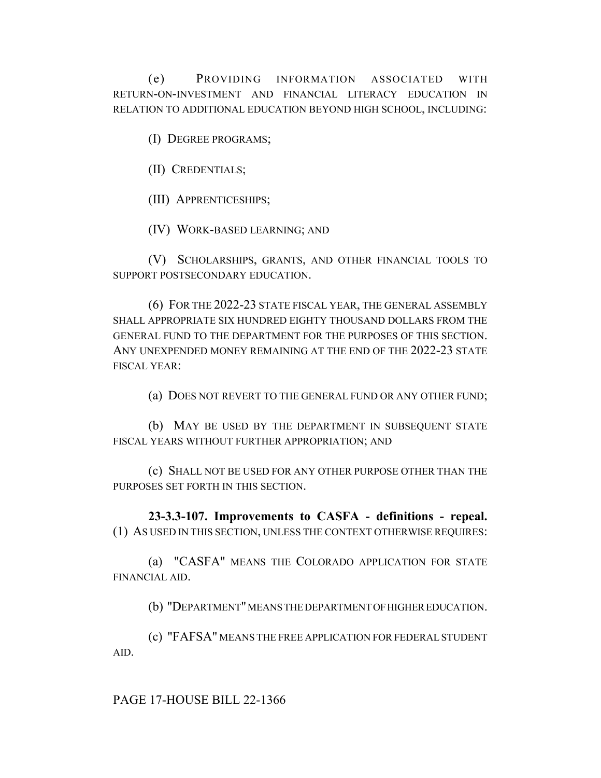(e) PROVIDING INFORMATION ASSOCIATED WITH RETURN-ON-INVESTMENT AND FINANCIAL LITERACY EDUCATION IN RELATION TO ADDITIONAL EDUCATION BEYOND HIGH SCHOOL, INCLUDING:

(I) DEGREE PROGRAMS;

(II) CREDENTIALS;

(III) APPRENTICESHIPS;

(IV) WORK-BASED LEARNING; AND

(V) SCHOLARSHIPS, GRANTS, AND OTHER FINANCIAL TOOLS TO SUPPORT POSTSECONDARY EDUCATION.

(6) FOR THE 2022-23 STATE FISCAL YEAR, THE GENERAL ASSEMBLY SHALL APPROPRIATE SIX HUNDRED EIGHTY THOUSAND DOLLARS FROM THE GENERAL FUND TO THE DEPARTMENT FOR THE PURPOSES OF THIS SECTION. ANY UNEXPENDED MONEY REMAINING AT THE END OF THE 2022-23 STATE FISCAL YEAR:

(a) DOES NOT REVERT TO THE GENERAL FUND OR ANY OTHER FUND;

(b) MAY BE USED BY THE DEPARTMENT IN SUBSEQUENT STATE FISCAL YEARS WITHOUT FURTHER APPROPRIATION; AND

(c) SHALL NOT BE USED FOR ANY OTHER PURPOSE OTHER THAN THE PURPOSES SET FORTH IN THIS SECTION.

**23-3.3-107. Improvements to CASFA - definitions - repeal.** (1) AS USED IN THIS SECTION, UNLESS THE CONTEXT OTHERWISE REQUIRES:

(a) "CASFA" MEANS THE COLORADO APPLICATION FOR STATE FINANCIAL AID.

(b) "DEPARTMENT" MEANS THE DEPARTMENT OF HIGHER EDUCATION.

(c) "FAFSA" MEANS THE FREE APPLICATION FOR FEDERAL STUDENT AID.

PAGE 17-HOUSE BILL 22-1366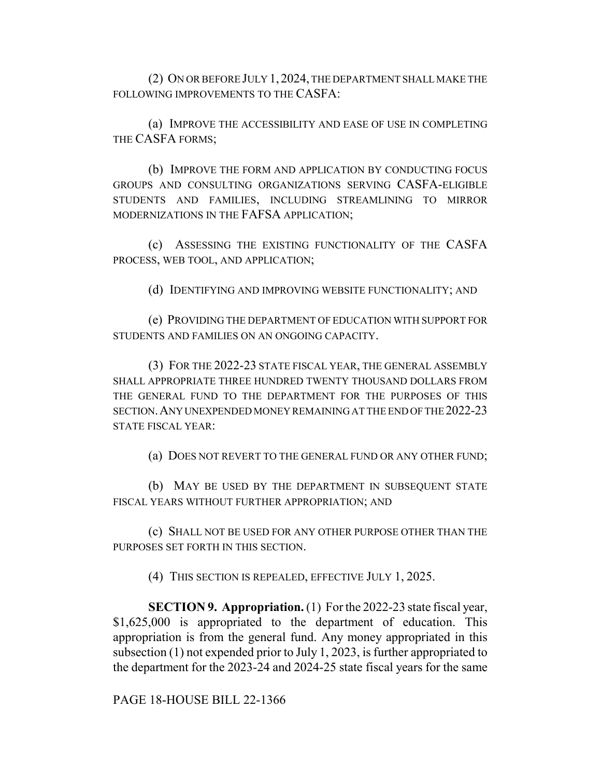(2) ON OR BEFORE JULY 1, 2024, THE DEPARTMENT SHALL MAKE THE FOLLOWING IMPROVEMENTS TO THE CASFA:

(a) IMPROVE THE ACCESSIBILITY AND EASE OF USE IN COMPLETING THE CASFA FORMS;

(b) IMPROVE THE FORM AND APPLICATION BY CONDUCTING FOCUS GROUPS AND CONSULTING ORGANIZATIONS SERVING CASFA-ELIGIBLE STUDENTS AND FAMILIES, INCLUDING STREAMLINING TO MIRROR MODERNIZATIONS IN THE FAFSA APPLICATION;

(c) ASSESSING THE EXISTING FUNCTIONALITY OF THE CASFA PROCESS, WEB TOOL, AND APPLICATION;

(d) IDENTIFYING AND IMPROVING WEBSITE FUNCTIONALITY; AND

(e) PROVIDING THE DEPARTMENT OF EDUCATION WITH SUPPORT FOR STUDENTS AND FAMILIES ON AN ONGOING CAPACITY.

(3) FOR THE 2022-23 STATE FISCAL YEAR, THE GENERAL ASSEMBLY SHALL APPROPRIATE THREE HUNDRED TWENTY THOUSAND DOLLARS FROM THE GENERAL FUND TO THE DEPARTMENT FOR THE PURPOSES OF THIS SECTION.ANY UNEXPENDED MONEY REMAINING AT THE END OF THE 2022-23 STATE FISCAL YEAR:

(a) DOES NOT REVERT TO THE GENERAL FUND OR ANY OTHER FUND;

(b) MAY BE USED BY THE DEPARTMENT IN SUBSEQUENT STATE FISCAL YEARS WITHOUT FURTHER APPROPRIATION; AND

(c) SHALL NOT BE USED FOR ANY OTHER PURPOSE OTHER THAN THE PURPOSES SET FORTH IN THIS SECTION.

(4) THIS SECTION IS REPEALED, EFFECTIVE JULY 1, 2025.

**SECTION 9. Appropriation.** (1) For the 2022-23 state fiscal year, \$1,625,000 is appropriated to the department of education. This appropriation is from the general fund. Any money appropriated in this subsection (1) not expended prior to July 1, 2023, is further appropriated to the department for the 2023-24 and 2024-25 state fiscal years for the same

PAGE 18-HOUSE BILL 22-1366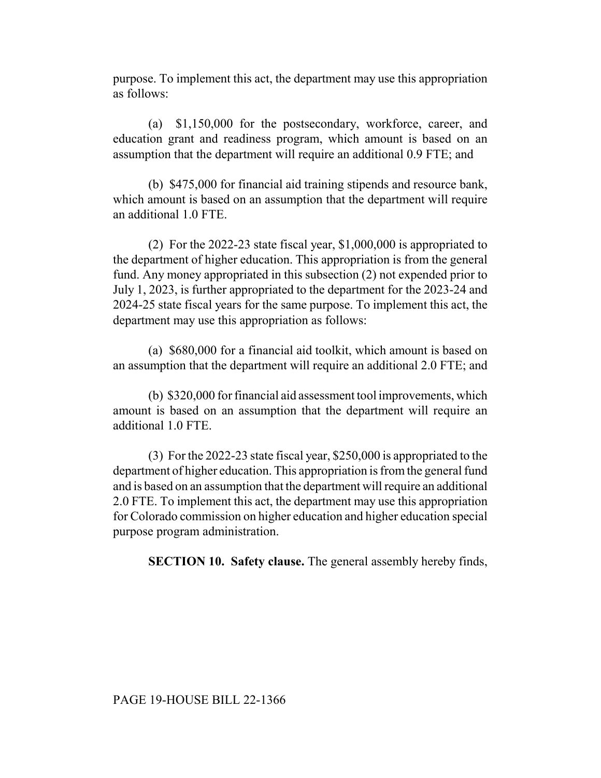purpose. To implement this act, the department may use this appropriation as follows:

(a) \$1,150,000 for the postsecondary, workforce, career, and education grant and readiness program, which amount is based on an assumption that the department will require an additional 0.9 FTE; and

(b) \$475,000 for financial aid training stipends and resource bank, which amount is based on an assumption that the department will require an additional 1.0 FTE.

(2) For the 2022-23 state fiscal year, \$1,000,000 is appropriated to the department of higher education. This appropriation is from the general fund. Any money appropriated in this subsection (2) not expended prior to July 1, 2023, is further appropriated to the department for the 2023-24 and 2024-25 state fiscal years for the same purpose. To implement this act, the department may use this appropriation as follows:

(a) \$680,000 for a financial aid toolkit, which amount is based on an assumption that the department will require an additional 2.0 FTE; and

(b) \$320,000 for financial aid assessment tool improvements, which amount is based on an assumption that the department will require an additional 1.0 FTE.

(3) For the 2022-23 state fiscal year, \$250,000 is appropriated to the department of higher education. This appropriation is from the general fund and is based on an assumption that the department will require an additional 2.0 FTE. To implement this act, the department may use this appropriation for Colorado commission on higher education and higher education special purpose program administration.

**SECTION 10. Safety clause.** The general assembly hereby finds,